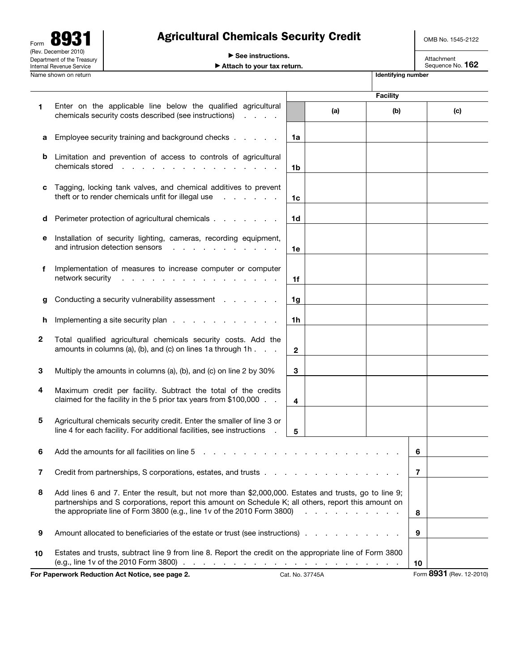| Form                                                          |  |  |  |  |  |  |  |  |
|---------------------------------------------------------------|--|--|--|--|--|--|--|--|
| (Rev. December 2010)                                          |  |  |  |  |  |  |  |  |
| Department of the Treasury<br><b>Internal Revenue Service</b> |  |  |  |  |  |  |  |  |
| Name shown on return                                          |  |  |  |  |  |  |  |  |

# Agricultural Chemicals Security Credit

OMB No. 1545-2122

| (Rev. December 2010)<br>$\blacktriangleright$ See instructions.<br>Department of the Treasury<br>Attach to your tax return.<br>Internal Revenue Service |                                                                                                                                                                                                                                                                                |                                                                                                                                                                              |                                   |                 |     |                           | Attachment<br>Sequence No. 162 |                          |  |
|---------------------------------------------------------------------------------------------------------------------------------------------------------|--------------------------------------------------------------------------------------------------------------------------------------------------------------------------------------------------------------------------------------------------------------------------------|------------------------------------------------------------------------------------------------------------------------------------------------------------------------------|-----------------------------------|-----------------|-----|---------------------------|--------------------------------|--------------------------|--|
| Name shown on return                                                                                                                                    |                                                                                                                                                                                                                                                                                |                                                                                                                                                                              |                                   |                 |     | <b>Identifying number</b> |                                |                          |  |
|                                                                                                                                                         |                                                                                                                                                                                                                                                                                |                                                                                                                                                                              |                                   |                 |     | <b>Facility</b>           |                                |                          |  |
| 1                                                                                                                                                       |                                                                                                                                                                                                                                                                                | Enter on the applicable line below the qualified agricultural<br>chemicals security costs described (see instructions)                                                       | <b>Contract Contract Contract</b> |                 | (a) | (b)                       |                                | (c)                      |  |
| а                                                                                                                                                       |                                                                                                                                                                                                                                                                                | Employee security training and background checks                                                                                                                             |                                   | 1a              |     |                           |                                |                          |  |
| b                                                                                                                                                       | Limitation and prevention of access to controls of agricultural<br>chemicals stored<br>$\sim$                                                                                                                                                                                  |                                                                                                                                                                              |                                   |                 |     |                           |                                |                          |  |
| с                                                                                                                                                       | Tagging, locking tank valves, and chemical additives to prevent<br>theft or to render chemicals unfit for illegal use                                                                                                                                                          |                                                                                                                                                                              |                                   |                 |     |                           |                                |                          |  |
| d                                                                                                                                                       | Perimeter protection of agricultural chemicals                                                                                                                                                                                                                                 |                                                                                                                                                                              |                                   |                 |     |                           |                                |                          |  |
| е                                                                                                                                                       |                                                                                                                                                                                                                                                                                | Installation of security lighting, cameras, recording equipment,<br>and intrusion detection sensors<br>and the company of the com-                                           |                                   | 1e              |     |                           |                                |                          |  |
| f                                                                                                                                                       |                                                                                                                                                                                                                                                                                | Implementation of measures to increase computer or computer<br>network security research and the contract of the contract of the contract of the contract of the contract of |                                   | 1f              |     |                           |                                |                          |  |
| g                                                                                                                                                       |                                                                                                                                                                                                                                                                                | Conducting a security vulnerability assessment                                                                                                                               |                                   | 1g              |     |                           |                                |                          |  |
| h                                                                                                                                                       |                                                                                                                                                                                                                                                                                | Implementing a site security plan                                                                                                                                            |                                   | 1h              |     |                           |                                |                          |  |
| $\mathbf{2}$                                                                                                                                            |                                                                                                                                                                                                                                                                                | Total qualified agricultural chemicals security costs. Add the<br>amounts in columns (a), (b), and (c) on lines 1a through $1h \cdot \cdot \cdot$                            |                                   | $\mathbf{2}$    |     |                           |                                |                          |  |
| 3                                                                                                                                                       |                                                                                                                                                                                                                                                                                | Multiply the amounts in columns (a), (b), and (c) on line 2 by 30%                                                                                                           |                                   | 3               |     |                           |                                |                          |  |
| 4                                                                                                                                                       |                                                                                                                                                                                                                                                                                | Maximum credit per facility. Subtract the total of the credits<br>claimed for the facility in the 5 prior tax years from \$100,000                                           |                                   | 4               |     |                           |                                |                          |  |
| 5                                                                                                                                                       |                                                                                                                                                                                                                                                                                | Agricultural chemicals security credit. Enter the smaller of line 3 or<br>line 4 for each facility. For additional facilities, see instructions .                            |                                   |                 |     |                           |                                |                          |  |
| 6                                                                                                                                                       | Add the amounts for all facilities on line 5<br>and the company of the company of the company of the company of the company of the company of the company of the company of the company of the company of the company of the company of the company of the company of the comp |                                                                                                                                                                              |                                   |                 |     |                           |                                |                          |  |
| 7                                                                                                                                                       |                                                                                                                                                                                                                                                                                |                                                                                                                                                                              |                                   |                 |     |                           |                                |                          |  |
| 8                                                                                                                                                       | Add lines 6 and 7. Enter the result, but not more than \$2,000,000. Estates and trusts, go to line 9;<br>partnerships and S corporations, report this amount on Schedule K; all others, report this amount on                                                                  |                                                                                                                                                                              |                                   |                 |     |                           |                                |                          |  |
| 9                                                                                                                                                       | Amount allocated to beneficiaries of the estate or trust (see instructions)                                                                                                                                                                                                    |                                                                                                                                                                              |                                   |                 |     |                           |                                |                          |  |
| 10                                                                                                                                                      | Estates and trusts, subtract line 9 from line 8. Report the credit on the appropriate line of Form 3800                                                                                                                                                                        |                                                                                                                                                                              |                                   |                 |     |                           |                                |                          |  |
|                                                                                                                                                         |                                                                                                                                                                                                                                                                                | For Paperwork Reduction Act Notice, see page 2.                                                                                                                              |                                   | Cat. No. 37745A |     |                           |                                | Form 8931 (Rev. 12-2010) |  |